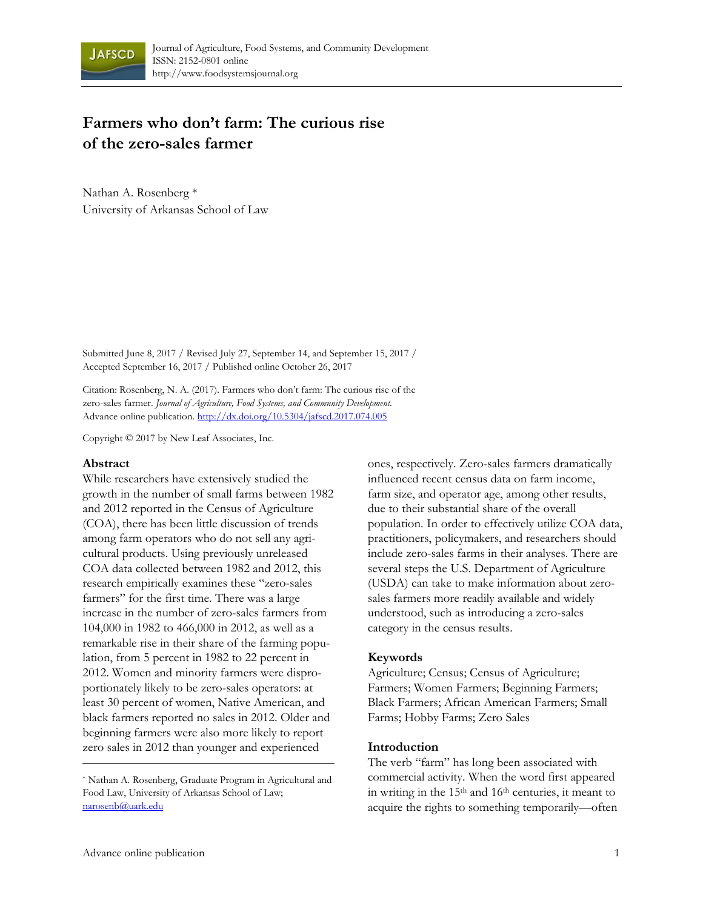

# **Farmers who don't farm: The curious rise of the zero-sales farmer**

Nathan A. Rosenberg \* University of Arkansas School of Law

Submitted June 8, 2017 / Revised July 27, September 14, and September 15, 2017 / Accepted September 16, 2017 / Published online October 26, 2017

Citation: Rosenberg, N. A. (2017). Farmers who don't farm: The curious rise of the zero-sales farmer. *Journal of Agriculture, Food Systems, and Community Development.*  Advance online publication. http://dx.doi.org/10.5304/jafscd.2017.074.005

Copyright © 2017 by New Leaf Associates, Inc.

#### **Abstract**

While researchers have extensively studied the growth in the number of small farms between 1982 and 2012 reported in the Census of Agriculture (COA), there has been little discussion of trends among farm operators who do not sell any agricultural products. Using previously unreleased COA data collected between 1982 and 2012, this research empirically examines these "zero-sales farmers" for the first time. There was a large increase in the number of zero-sales farmers from 104,000 in 1982 to 466,000 in 2012, as well as a remarkable rise in their share of the farming population, from 5 percent in 1982 to 22 percent in 2012. Women and minority farmers were disproportionately likely to be zero-sales operators: at least 30 percent of women, Native American, and black farmers reported no sales in 2012. Older and beginning farmers were also more likely to report zero sales in 2012 than younger and experienced

ones, respectively. Zero-sales farmers dramatically influenced recent census data on farm income, farm size, and operator age, among other results, due to their substantial share of the overall population. In order to effectively utilize COA data, practitioners, policymakers, and researchers should include zero-sales farms in their analyses. There are several steps the U.S. Department of Agriculture (USDA) can take to make information about zerosales farmers more readily available and widely understood, such as introducing a zero-sales category in the census results.

#### **Keywords**

Agriculture; Census; Census of Agriculture; Farmers; Women Farmers; Beginning Farmers; Black Farmers; African American Farmers; Small Farms; Hobby Farms; Zero Sales

#### **Introduction**

The verb "farm" has long been associated with commercial activity. When the word first appeared in writing in the 15th and 16th centuries, it meant to acquire the rights to something temporarily—often

<sup>\*</sup> Nathan A. Rosenberg, Graduate Program in Agricultural and Food Law, University of Arkansas School of Law; narosenb@uark.edu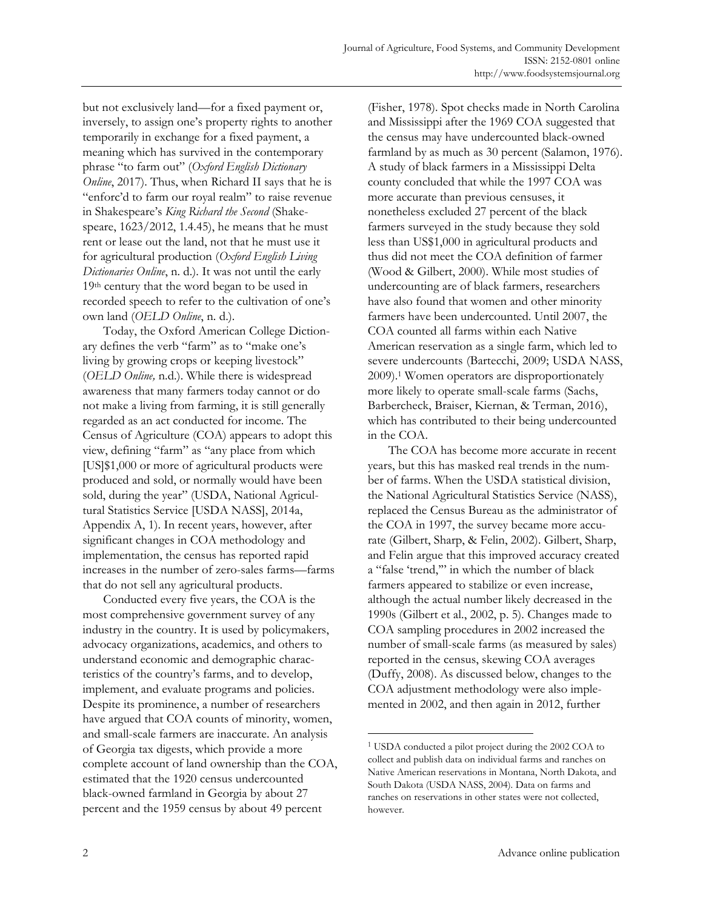but not exclusively land—for a fixed payment or, inversely, to assign one's property rights to another temporarily in exchange for a fixed payment, a meaning which has survived in the contemporary phrase "to farm out" (*Oxford English Dictionary Online*, 2017). Thus, when Richard II says that he is "enforc'd to farm our royal realm" to raise revenue in Shakespeare's *King Richard the Second* (Shakespeare, 1623/2012, 1.4.45), he means that he must rent or lease out the land, not that he must use it for agricultural production (*Oxford English Living Dictionaries Online*, n. d.). It was not until the early 19th century that the word began to be used in recorded speech to refer to the cultivation of one's own land (*OELD Online*, n. d.).

 Today, the Oxford American College Dictionary defines the verb "farm" as to "make one's living by growing crops or keeping livestock" (*OELD Online,* n.d.). While there is widespread awareness that many farmers today cannot or do not make a living from farming, it is still generally regarded as an act conducted for income. The Census of Agriculture (COA) appears to adopt this view, defining "farm" as "any place from which [US]\$1,000 or more of agricultural products were produced and sold, or normally would have been sold, during the year" (USDA, National Agricultural Statistics Service [USDA NASS], 2014a, Appendix A, 1). In recent years, however, after significant changes in COA methodology and implementation, the census has reported rapid increases in the number of zero-sales farms—farms that do not sell any agricultural products.

 Conducted every five years, the COA is the most comprehensive government survey of any industry in the country. It is used by policymakers, advocacy organizations, academics, and others to understand economic and demographic characteristics of the country's farms, and to develop, implement, and evaluate programs and policies. Despite its prominence, a number of researchers have argued that COA counts of minority, women, and small-scale farmers are inaccurate. An analysis of Georgia tax digests, which provide a more complete account of land ownership than the COA, estimated that the 1920 census undercounted black-owned farmland in Georgia by about 27 percent and the 1959 census by about 49 percent

(Fisher, 1978). Spot checks made in North Carolina and Mississippi after the 1969 COA suggested that the census may have undercounted black-owned farmland by as much as 30 percent (Salamon, 1976). A study of black farmers in a Mississippi Delta county concluded that while the 1997 COA was more accurate than previous censuses, it nonetheless excluded 27 percent of the black farmers surveyed in the study because they sold less than US\$1,000 in agricultural products and thus did not meet the COA definition of farmer (Wood & Gilbert, 2000). While most studies of undercounting are of black farmers, researchers have also found that women and other minority farmers have been undercounted. Until 2007, the COA counted all farms within each Native American reservation as a single farm, which led to severe undercounts (Bartecchi, 2009; USDA NASS, 2009).1 Women operators are disproportionately more likely to operate small-scale farms (Sachs, Barbercheck, Braiser, Kiernan, & Terman, 2016), which has contributed to their being undercounted in the COA.

 The COA has become more accurate in recent years, but this has masked real trends in the number of farms. When the USDA statistical division, the National Agricultural Statistics Service (NASS), replaced the Census Bureau as the administrator of the COA in 1997, the survey became more accurate (Gilbert, Sharp, & Felin, 2002). Gilbert, Sharp, and Felin argue that this improved accuracy created a "false 'trend,'" in which the number of black farmers appeared to stabilize or even increase, although the actual number likely decreased in the 1990s (Gilbert et al., 2002, p. 5). Changes made to COA sampling procedures in 2002 increased the number of small-scale farms (as measured by sales) reported in the census, skewing COA averages (Duffy, 2008). As discussed below, changes to the COA adjustment methodology were also implemented in 2002, and then again in 2012, further

<sup>1</sup> USDA conducted a pilot project during the 2002 COA to collect and publish data on individual farms and ranches on Native American reservations in Montana, North Dakota, and South Dakota (USDA NASS, 2004). Data on farms and ranches on reservations in other states were not collected, however.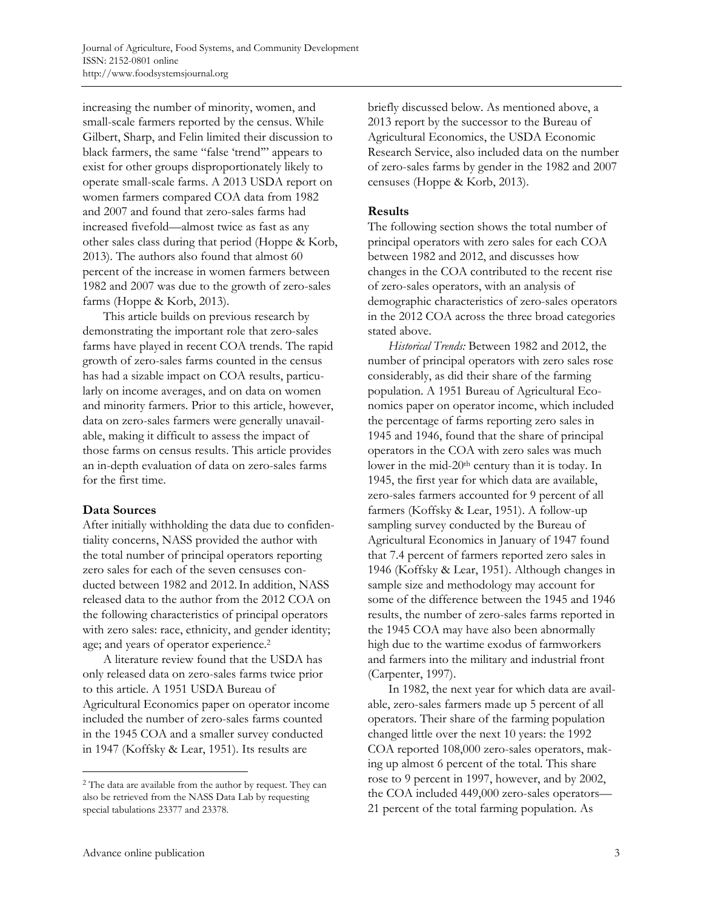increasing the number of minority, women, and small-scale farmers reported by the census. While Gilbert, Sharp, and Felin limited their discussion to black farmers, the same "false 'trend'" appears to exist for other groups disproportionately likely to operate small-scale farms. A 2013 USDA report on women farmers compared COA data from 1982 and 2007 and found that zero-sales farms had increased fivefold—almost twice as fast as any other sales class during that period (Hoppe & Korb, 2013). The authors also found that almost 60 percent of the increase in women farmers between 1982 and 2007 was due to the growth of zero-sales farms (Hoppe & Korb, 2013).

 This article builds on previous research by demonstrating the important role that zero-sales farms have played in recent COA trends. The rapid growth of zero-sales farms counted in the census has had a sizable impact on COA results, particularly on income averages, and on data on women and minority farmers. Prior to this article, however, data on zero-sales farmers were generally unavailable, making it difficult to assess the impact of those farms on census results. This article provides an in-depth evaluation of data on zero-sales farms for the first time.

# **Data Sources**

After initially withholding the data due to confidentiality concerns, NASS provided the author with the total number of principal operators reporting zero sales for each of the seven censuses conducted between 1982 and 2012.In addition, NASS released data to the author from the 2012 COA on the following characteristics of principal operators with zero sales: race, ethnicity, and gender identity; age; and years of operator experience.2

 A literature review found that the USDA has only released data on zero-sales farms twice prior to this article. A 1951 USDA Bureau of Agricultural Economics paper on operator income included the number of zero-sales farms counted in the 1945 COA and a smaller survey conducted in 1947 (Koffsky & Lear, 1951). Its results are

briefly discussed below. As mentioned above, a 2013 report by the successor to the Bureau of Agricultural Economics, the USDA Economic Research Service, also included data on the number of zero-sales farms by gender in the 1982 and 2007 censuses (Hoppe & Korb, 2013).

# **Results**

The following section shows the total number of principal operators with zero sales for each COA between 1982 and 2012, and discusses how changes in the COA contributed to the recent rise of zero-sales operators, with an analysis of demographic characteristics of zero-sales operators in the 2012 COA across the three broad categories stated above.

 *Historical Trends:* Between 1982 and 2012, the number of principal operators with zero sales rose considerably, as did their share of the farming population. A 1951 Bureau of Agricultural Economics paper on operator income, which included the percentage of farms reporting zero sales in 1945 and 1946, found that the share of principal operators in the COA with zero sales was much lower in the mid-20th century than it is today. In 1945, the first year for which data are available, zero-sales farmers accounted for 9 percent of all farmers (Koffsky & Lear, 1951). A follow-up sampling survey conducted by the Bureau of Agricultural Economics in January of 1947 found that 7.4 percent of farmers reported zero sales in 1946 (Koffsky & Lear, 1951). Although changes in sample size and methodology may account for some of the difference between the 1945 and 1946 results, the number of zero-sales farms reported in the 1945 COA may have also been abnormally high due to the wartime exodus of farmworkers and farmers into the military and industrial front (Carpenter, 1997).

 In 1982, the next year for which data are available, zero-sales farmers made up 5 percent of all operators. Their share of the farming population changed little over the next 10 years: the 1992 COA reported 108,000 zero-sales operators, making up almost 6 percent of the total. This share rose to 9 percent in 1997, however, and by 2002, the COA included 449,000 zero-sales operators— 21 percent of the total farming population. As

<sup>2</sup> The data are available from the author by request. They can also be retrieved from the NASS Data Lab by requesting special tabulations 23377 and 23378.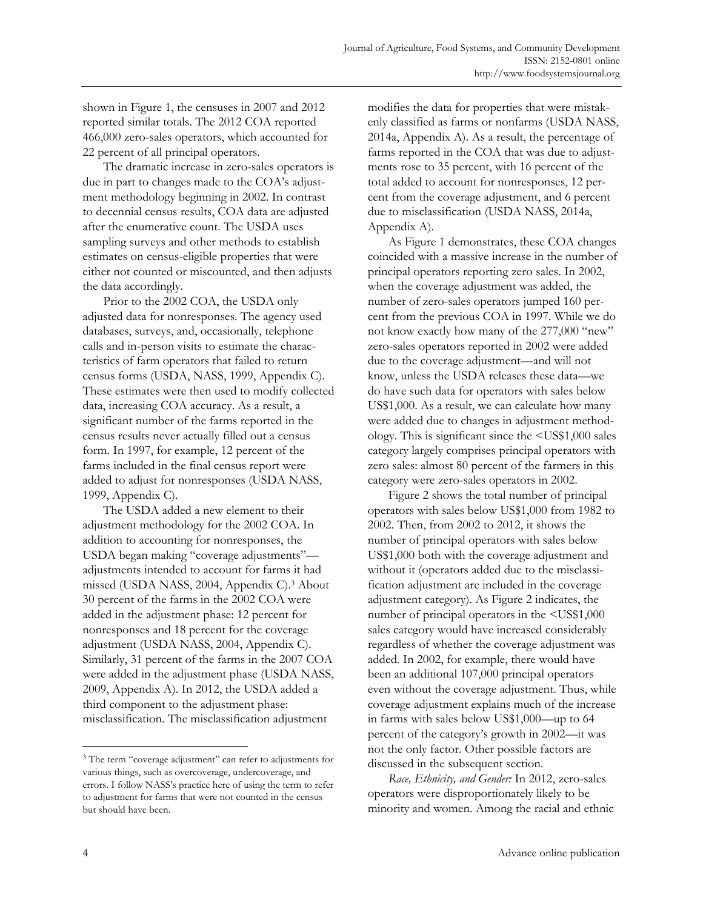shown in Figure 1, the censuses in 2007 and 2012 reported similar totals. The 2012 COA reported 466,000 zero-sales operators, which accounted for 22 percent of all principal operators.

 The dramatic increase in zero-sales operators is due in part to changes made to the COA's adjustment methodology beginning in 2002. In contrast to decennial census results, COA data are adjusted after the enumerative count. The USDA uses sampling surveys and other methods to establish estimates on census-eligible properties that were either not counted or miscounted, and then adjusts the data accordingly.

 Prior to the 2002 COA, the USDA only adjusted data for nonresponses. The agency used databases, surveys, and, occasionally, telephone calls and in-person visits to estimate the characteristics of farm operators that failed to return census forms (USDA, NASS, 1999, Appendix C). These estimates were then used to modify collected data, increasing COA accuracy. As a result, a significant number of the farms reported in the census results never actually filled out a census form. In 1997, for example, 12 percent of the farms included in the final census report were added to adjust for nonresponses (USDA NASS, 1999, Appendix C).

 The USDA added a new element to their adjustment methodology for the 2002 COA. In addition to accounting for nonresponses, the USDA began making "coverage adjustments" adjustments intended to account for farms it had missed (USDA NASS, 2004, Appendix C).3 About 30 percent of the farms in the 2002 COA were added in the adjustment phase: 12 percent for nonresponses and 18 percent for the coverage adjustment (USDA NASS, 2004, Appendix C). Similarly, 31 percent of the farms in the 2007 COA were added in the adjustment phase (USDA NASS, 2009, Appendix A). In 2012, the USDA added a third component to the adjustment phase: misclassification. The misclassification adjustment

modifies the data for properties that were mistakenly classified as farms or nonfarms (USDA NASS, 2014a, Appendix A). As a result, the percentage of farms reported in the COA that was due to adjustments rose to 35 percent, with 16 percent of the total added to account for nonresponses, 12 percent from the coverage adjustment, and 6 percent due to misclassification (USDA NASS, 2014a, Appendix A).

 As Figure 1 demonstrates, these COA changes coincided with a massive increase in the number of principal operators reporting zero sales. In 2002, when the coverage adjustment was added, the number of zero-sales operators jumped 160 percent from the previous COA in 1997. While we do not know exactly how many of the 277,000 "new" zero-sales operators reported in 2002 were added due to the coverage adjustment—and will not know, unless the USDA releases these data—we do have such data for operators with sales below US\$1,000. As a result, we can calculate how many were added due to changes in adjustment methodology. This is significant since the <US\$1,000 sales category largely comprises principal operators with zero sales: almost 80 percent of the farmers in this category were zero-sales operators in 2002.

 Figure 2 shows the total number of principal operators with sales below US\$1,000 from 1982 to 2002. Then, from 2002 to 2012, it shows the number of principal operators with sales below US\$1,000 both with the coverage adjustment and without it (operators added due to the misclassification adjustment are included in the coverage adjustment category). As Figure 2 indicates, the number of principal operators in the <US\$1,000 sales category would have increased considerably regardless of whether the coverage adjustment was added. In 2002, for example, there would have been an additional 107,000 principal operators even without the coverage adjustment. Thus, while coverage adjustment explains much of the increase in farms with sales below US\$1,000—up to 64 percent of the category's growth in 2002—it was not the only factor. Other possible factors are discussed in the subsequent section.

 *Race, Ethnicity, and Gender:* In 2012, zero-sales operators were disproportionately likely to be minority and women. Among the racial and ethnic

<sup>&</sup>lt;sup>3</sup> The term "coverage adjustment" can refer to adjustments for various things, such as overcoverage, undercoverage, and errors. I follow NASS's practice here of using the term to refer to adjustment for farms that were not counted in the census but should have been.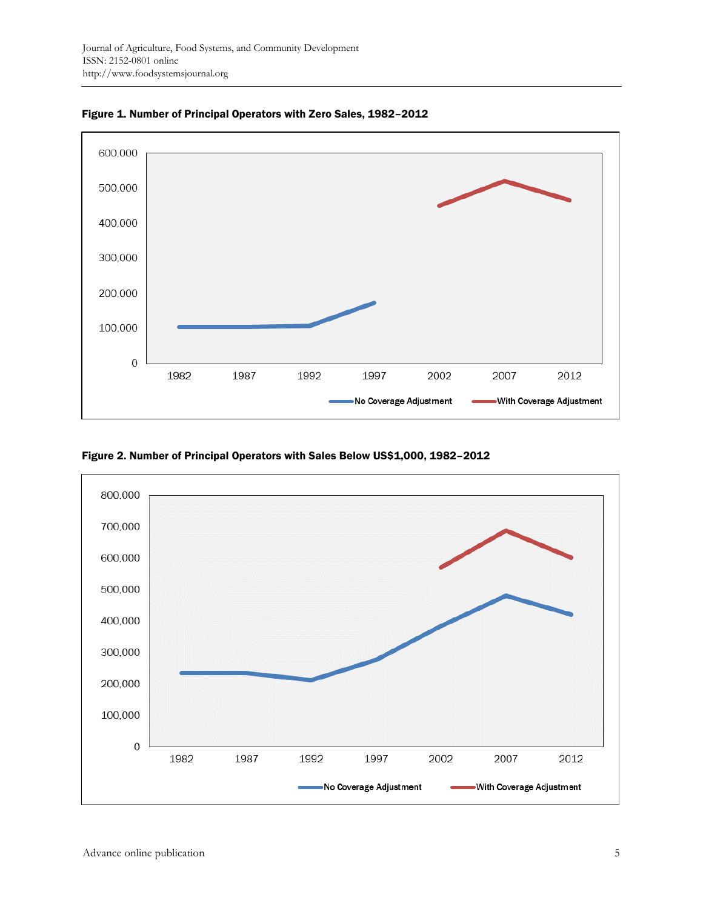

Figure 1. Number of Principal Operators with Zero Sales, 1982–2012

Figure 2. Number of Principal Operators with Sales Below US\$1,000, 1982–2012

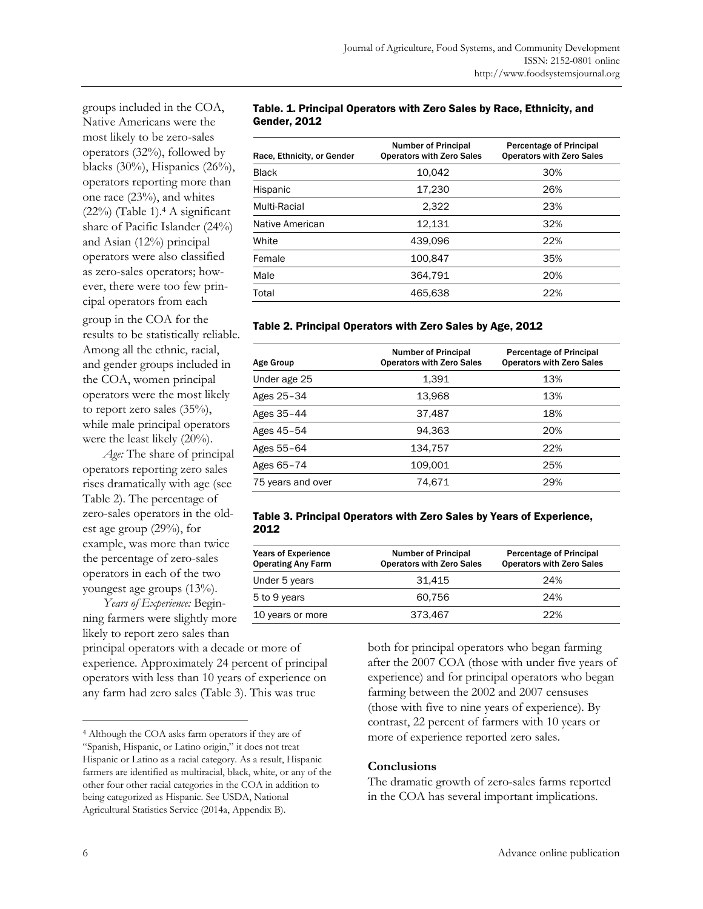groups included in the COA, Native Americans were the most likely to be zero-sales operators (32%), followed by blacks (30%), Hispanics (26%), operators reporting more than one race (23%), and whites (22%) (Table 1).4 A significant share of Pacific Islander (24%) and Asian (12%) principal operators were also classified as zero-sales operators; however, there were too few principal operators from each

group in the COA for the results to be statistically reliable. Among all the ethnic, racial, and gender groups included in the COA, women principal operators were the most likely to report zero sales (35%), while male principal operators were the least likely (20%).

 *Age:* The share of principal operators reporting zero sales rises dramatically with age (see Table 2). The percentage of zero-sales operators in the oldest age group (29%), for example, was more than twice the percentage of zero-sales operators in each of the two youngest age groups (13%).

 *Years of Experience:* Beginning farmers were slightly more likely to report zero sales than

principal operators with a decade or more of experience. Approximately 24 percent of principal operators with less than 10 years of experience on any farm had zero sales (Table 3). This was true

#### Table. 1. Principal Operators with Zero Sales by Race, Ethnicity, and Gender, 2012

| Race, Ethnicity, or Gender | <b>Number of Principal</b><br><b>Operators with Zero Sales</b> | <b>Percentage of Principal</b><br><b>Operators with Zero Sales</b> |
|----------------------------|----------------------------------------------------------------|--------------------------------------------------------------------|
| <b>Black</b>               | 10,042                                                         | 30%                                                                |
| Hispanic                   | 17.230                                                         | 26%                                                                |
| Multi-Racial               | 2.322                                                          | 23%                                                                |
| Native American            | 12.131                                                         | 32%                                                                |
| White                      | 439.096                                                        | 22%                                                                |
| Female                     | 100.847                                                        | 35%                                                                |
| Male                       | 364.791                                                        | 20%                                                                |
| Total                      | 465.638                                                        | 22%                                                                |
|                            |                                                                |                                                                    |

# Table 2. Principal Operators with Zero Sales by Age, 2012

| <b>Age Group</b>  | <b>Number of Principal</b><br><b>Operators with Zero Sales</b> | Percentage of Principal<br><b>Operators with Zero Sales</b> |
|-------------------|----------------------------------------------------------------|-------------------------------------------------------------|
| Under age 25      | 1.391                                                          | 13%                                                         |
| Ages 25-34        | 13,968                                                         | 13%                                                         |
| Ages 35-44        | 37,487                                                         | 18%                                                         |
| Ages 45-54        | 94.363                                                         | 20%                                                         |
| Ages 55-64        | 134.757                                                        | 22%                                                         |
| Ages 65-74        | 109.001                                                        | 25%                                                         |
| 75 years and over | 74.671                                                         | 29%                                                         |

#### Table 3. Principal Operators with Zero Sales by Years of Experience, 2012

| <b>Years of Experience</b><br><b>Operating Any Farm</b> | <b>Number of Principal</b><br><b>Operators with Zero Sales</b> | Percentage of Principal<br><b>Operators with Zero Sales</b> |
|---------------------------------------------------------|----------------------------------------------------------------|-------------------------------------------------------------|
| Under 5 years                                           | 31.415                                                         | 24%                                                         |
| 5 to 9 years                                            | 60.756                                                         | 24%                                                         |
| 10 years or more                                        | 373.467                                                        | 22%                                                         |

both for principal operators who began farming after the 2007 COA (those with under five years of experience) and for principal operators who began farming between the 2002 and 2007 censuses (those with five to nine years of experience). By contrast, 22 percent of farmers with 10 years or more of experience reported zero sales.

# **Conclusions**

The dramatic growth of zero-sales farms reported in the COA has several important implications.

<sup>4</sup> Although the COA asks farm operators if they are of "Spanish, Hispanic, or Latino origin," it does not treat Hispanic or Latino as a racial category. As a result, Hispanic farmers are identified as multiracial, black, white, or any of the other four other racial categories in the COA in addition to being categorized as Hispanic. See USDA, National Agricultural Statistics Service (2014a, Appendix B).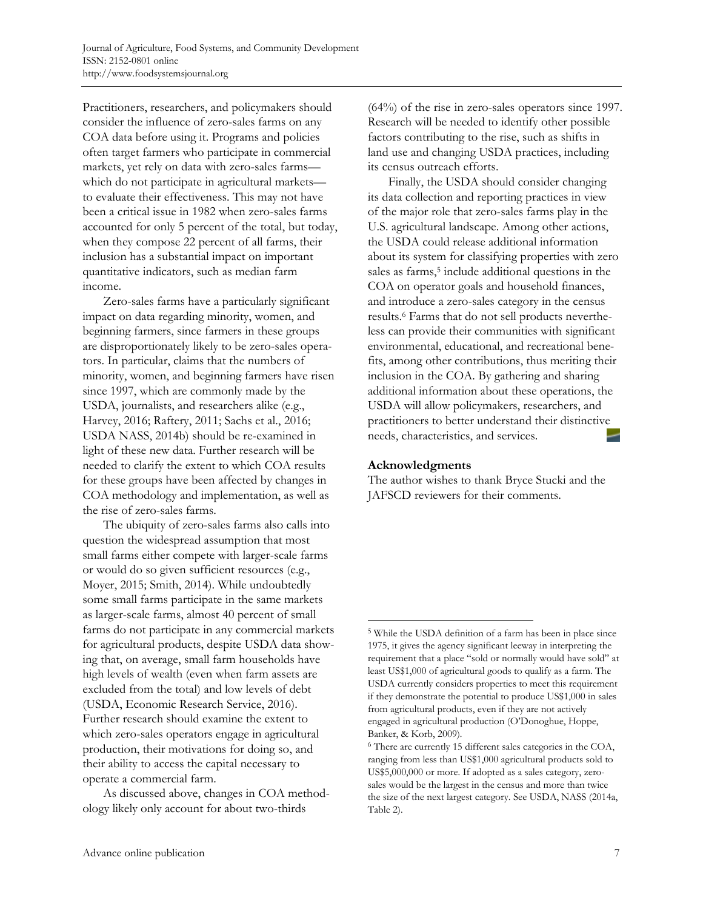Practitioners, researchers, and policymakers should consider the influence of zero-sales farms on any COA data before using it. Programs and policies often target farmers who participate in commercial markets, yet rely on data with zero-sales farms which do not participate in agricultural markets to evaluate their effectiveness. This may not have been a critical issue in 1982 when zero-sales farms accounted for only 5 percent of the total, but today, when they compose 22 percent of all farms, their inclusion has a substantial impact on important quantitative indicators, such as median farm income.

 Zero-sales farms have a particularly significant impact on data regarding minority, women, and beginning farmers, since farmers in these groups are disproportionately likely to be zero-sales operators. In particular, claims that the numbers of minority, women, and beginning farmers have risen since 1997, which are commonly made by the USDA, journalists, and researchers alike (e.g., Harvey, 2016; Raftery, 2011; Sachs et al., 2016; USDA NASS, 2014b) should be re-examined in light of these new data. Further research will be needed to clarify the extent to which COA results for these groups have been affected by changes in COA methodology and implementation, as well as the rise of zero-sales farms.

 The ubiquity of zero-sales farms also calls into question the widespread assumption that most small farms either compete with larger-scale farms or would do so given sufficient resources (e.g., Moyer, 2015; Smith, 2014). While undoubtedly some small farms participate in the same markets as larger-scale farms, almost 40 percent of small farms do not participate in any commercial markets for agricultural products, despite USDA data showing that, on average, small farm households have high levels of wealth (even when farm assets are excluded from the total) and low levels of debt (USDA, Economic Research Service, 2016). Further research should examine the extent to which zero-sales operators engage in agricultural production, their motivations for doing so, and their ability to access the capital necessary to operate a commercial farm.

 As discussed above, changes in COA methodology likely only account for about two-thirds

(64%) of the rise in zero-sales operators since 1997. Research will be needed to identify other possible factors contributing to the rise, such as shifts in land use and changing USDA practices, including its census outreach efforts.

 Finally, the USDA should consider changing its data collection and reporting practices in view of the major role that zero-sales farms play in the U.S. agricultural landscape. Among other actions, the USDA could release additional information about its system for classifying properties with zero sales as farms,<sup>5</sup> include additional questions in the COA on operator goals and household finances, and introduce a zero-sales category in the census results.6 Farms that do not sell products nevertheless can provide their communities with significant environmental, educational, and recreational benefits, among other contributions, thus meriting their inclusion in the COA. By gathering and sharing additional information about these operations, the USDA will allow policymakers, researchers, and practitioners to better understand their distinctive needs, characteristics, and services.

# **Acknowledgments**

 $\overline{a}$ 

The author wishes to thank Bryce Stucki and the JAFSCD reviewers for their comments.

<sup>5</sup> While the USDA definition of a farm has been in place since 1975, it gives the agency significant leeway in interpreting the requirement that a place "sold or normally would have sold" at least US\$1,000 of agricultural goods to qualify as a farm. The USDA currently considers properties to meet this requirement if they demonstrate the potential to produce US\$1,000 in sales from agricultural products, even if they are not actively engaged in agricultural production (O'Donoghue, Hoppe, Banker, & Korb, 2009).

<sup>6</sup> There are currently 15 different sales categories in the COA, ranging from less than US\$1,000 agricultural products sold to US\$5,000,000 or more. If adopted as a sales category, zerosales would be the largest in the census and more than twice the size of the next largest category. See USDA, NASS (2014a, Table 2).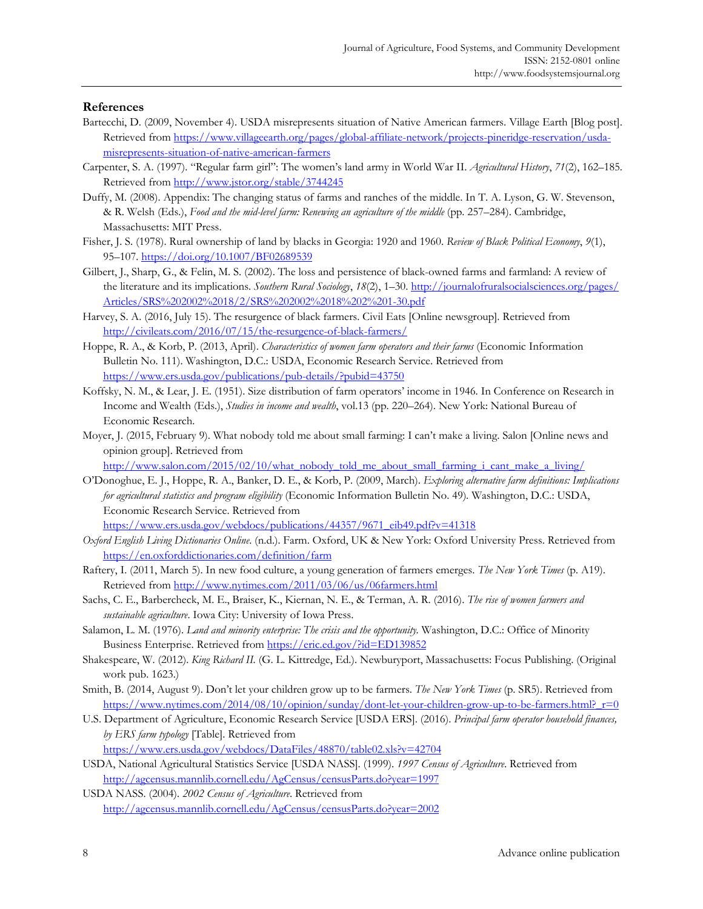#### **References**

- Bartecchi, D. (2009, November 4). USDA misrepresents situation of Native American farmers. Village Earth [Blog post]. Retrieved from https://www.villageearth.org/pages/global-affiliate-network/projects-pineridge-reservation/usdamisrepresents-situation-of-native-american-farmers
- Carpenter, S. A. (1997). "Regular farm girl": The women's land army in World War II. *Agricultural History*, *71*(2), 162–185. Retrieved from http://www.jstor.org/stable/3744245
- Duffy, M. (2008). Appendix: The changing status of farms and ranches of the middle. In T. A. Lyson, G. W. Stevenson, & R. Welsh (Eds.), *Food and the mid-level farm: Renewing an agriculture of the middle* (pp. 257–284). Cambridge, Massachusetts: MIT Press.
- Fisher, J. S. (1978). Rural ownership of land by blacks in Georgia: 1920 and 1960. *Review of Black Political Economy*, *9*(1), 95–107. https://doi.org/10.1007/BF02689539
- Gilbert, J., Sharp, G., & Felin, M. S. (2002). The loss and persistence of black-owned farms and farmland: A review of the literature and its implications. *Southern Rural Sociology*, *18*(2), 1–30. http://journalofruralsocialsciences.org/pages/ [Articles/SRS%202002%2018/2/SRS%202002%2018%202%201-30.pdf](http://journalofruralsocialsciences.org/pages/Articles/SRS 2002 18/2/SRS 2002 18 2 1-30.pdf)
- Harvey, S. A. (2016, July 15). The resurgence of black farmers. Civil Eats [Online newsgroup]. Retrieved from http://civileats.com/2016/07/15/the-resurgence-of-black-farmers/
- Hoppe, R. A., & Korb, P. (2013, April). *Characteristics of women farm operators and their farms* (Economic Information Bulletin No. 111). Washington, D.C.: USDA, Economic Research Service. Retrieved from https://www.ers.usda.gov/publications/pub-details/?pubid=43750
- Koffsky, N. M., & Lear, J. E. (1951). Size distribution of farm operators' income in 1946. In Conference on Research in Income and Wealth (Eds.), *Studies in income and wealth*, vol.13 (pp. 220–264). New York: National Bureau of Economic Research.
- Moyer, J. (2015, February 9). What nobody told me about small farming: I can't make a living. Salon [Online news and opinion group]. Retrieved from

http://www.salon.com/2015/02/10/what\_nobody\_told\_me\_about\_small\_farming\_i\_cant\_make\_a\_living/

O'Donoghue, E. J., Hoppe, R. A., Banker, D. E., & Korb, P. (2009, March). *Exploring alternative farm definitions: Implications for agricultural statistics and program eligibility* (Economic Information Bulletin No. 49)*.* Washington, D.C.: USDA, Economic Research Service. Retrieved from

https://www.ers.usda.gov/webdocs/publications/44357/9671\_eib49.pdf?v=41318

- *Oxford English Living Dictionaries Online*. (n.d.). Farm. Oxford, UK & New York: Oxford University Press. Retrieved from https://en.oxforddictionaries.com/definition/farm
- Raftery, I. (2011, March 5). In new food culture, a young generation of farmers emerges. *The New York Times* (p. A19). Retrieved from http://www.nytimes.com/2011/03/06/us/06farmers.html
- Sachs, C. E., Barbercheck, M. E., Braiser, K., Kiernan, N. E., & Terman, A. R. (2016). *The rise of women farmers and sustainable agriculture*. Iowa City: University of Iowa Press.
- Salamon, L. M. (1976). *Land and minority enterprise: The crisis and the opportunity.* Washington, D.C.: Office of Minority Business Enterprise. Retrieved from https://eric.ed.gov/?id=ED139852
- Shakespeare, W. (2012). *King Richard II.* (G. L. Kittredge, Ed.). Newburyport, Massachusetts: Focus Publishing. (Original work pub. 1623.)
- Smith, B. (2014, August 9). Don't let your children grow up to be farmers. *The New York Times* (p. SR5). Retrieved from https://www.nytimes.com/2014/08/10/opinion/sunday/dont-let-your-children-grow-up-to-be-farmers.html?\_r=0
- U.S. Department of Agriculture, Economic Research Service [USDA ERS]. (2016). *Principal farm operator household finances, by ERS farm typology* [Table]. Retrieved from https://www.ers.usda.gov/webdocs/DataFiles/48870/table02.xls?v=42704
- USDA, National Agricultural Statistics Service [USDA NASS]. (1999). *1997 Census of Agriculture*. Retrieved from http://agcensus.mannlib.cornell.edu/AgCensus/censusParts.do?year=1997
- USDA NASS. (2004). *2002 Census of Agriculture*. Retrieved from http://agcensus.mannlib.cornell.edu/AgCensus/censusParts.do?year=2002